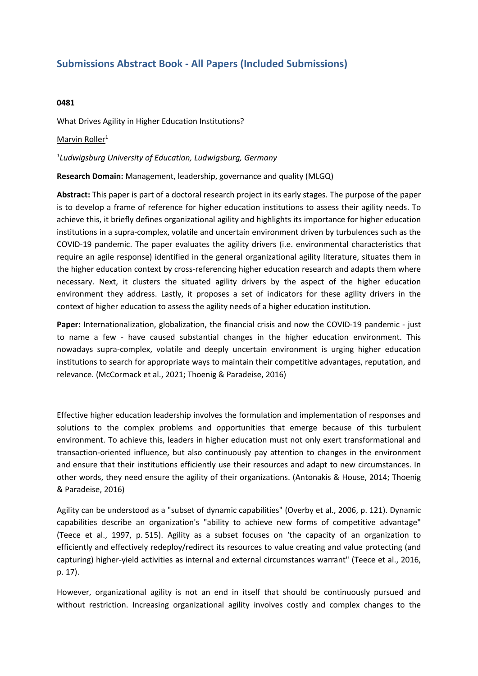## **Submissions Abstract Book - All Papers (Included Submissions)**

## **0481**

What Drives Agility in Higher Education Institutions?

## Marvin Roller<sup>1</sup>

## *1 Ludwigsburg University of Education, Ludwigsburg, Germany*

**Research Domain:** Management, leadership, governance and quality (MLGQ)

**Abstract:** This paper is part of <sup>a</sup> doctoral research project in its early stages. The purpose of the paper is to develop <sup>a</sup> frame of reference for higher education institutions to assess their agility needs. To achieve this, it briefly defines organizational agility and highlights its importance for higher education institutions in <sup>a</sup> supra-complex, volatile and uncertain environment driven by turbulences such as the COVID-19 pandemic. The paper evaluates the agility drivers (i.e. environmental characteristics that require an agile response) identified in the general organizational agility literature, situates them in the higher education context by cross-referencing higher education research and adapts them where necessary. Next, it clusters the situated agility drivers by the aspect of the higher education environment they address. Lastly, it proposes <sup>a</sup> set of indicators for these agility drivers in the context of higher education to assess the agility needs of <sup>a</sup> higher education institution.

**Paper:** Internationalization, globalization, the financial crisis and now the COVID-19 pandemic - just to name <sup>a</sup> few - have caused substantial changes in the higher education environment. This nowadays supra-complex, volatile and deeply uncertain environment is urging higher education institutions to search for appropriate ways to maintain their competitive advantages, reputation, and relevance. (McCormack et al., 2021; Thoenig & Paradeise, 2016)

Effective higher education leadership involves the formulation and implementation of responses and solutions to the complex problems and opportunities that emerge because of this turbulent environment. To achieve this, leaders in higher education must not only exert transformational and transaction-oriented influence, but also continuously pay attention to changes in the environment and ensure that their institutions efficiently use their resources and adapt to new circumstances. In other words, they need ensure the agility of their organizations. (Antonakis & House, 2014; Thoenig & Paradeise, 2016)

Agility can be understood as <sup>a</sup> "subset of dynamic capabilities" (Overby et al., 2006, p. 121). Dynamic capabilities describe an organization's "ability to achieve new forms of competitive advantage" (Teece et al., 1997, p. 515). Agility as <sup>a</sup> subset focuses on 'the capacity of an organization to efficiently and effectively redeploy/redirect its resources to value creating and value protecting (and capturing) higher-yield activities as internal and external circumstances warrant" (Teece et al., 2016, p. 17).

However, organizational agility is not an end in itself that should be continuously pursued and without restriction. Increasing organizational agility involves costly and complex changes to the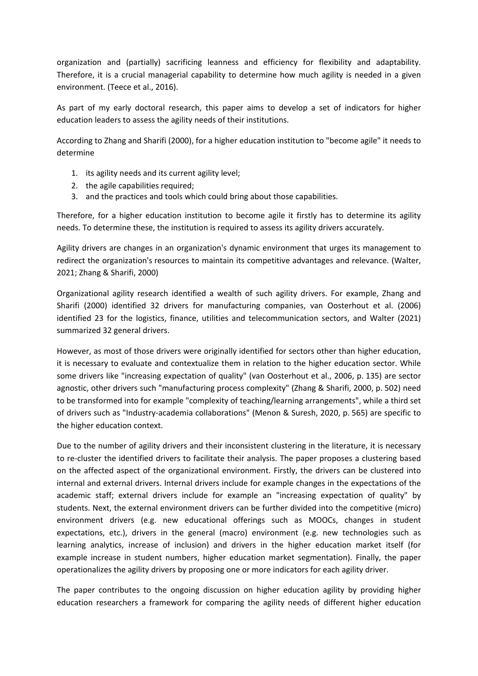organization and (partially) sacrificing leanness and efficiency for flexibility and adaptability. Therefore, it is <sup>a</sup> crucial managerial capability to determine how much agility is needed in <sup>a</sup> given environment. (Teece et al., 2016).

As part of my early doctoral research, this paper aims to develop <sup>a</sup> set of indicators for higher education leaders to assess the agility needs of their institutions.

According to Zhang and Sharifi (2000), for <sup>a</sup> higher education institution to "become agile" it needs to determine

- 1. its agility needs and its current agility level;
- 2. the agile capabilities required;
- 3. and the practices and tools which could bring about those capabilities.

Therefore, for <sup>a</sup> higher education institution to become agile it firstly has to determine its agility needs. To determine these, the institution is required to assess its agility drivers accurately.

Agility drivers are changes in an organization's dynamic environment that urges its management to redirect the organization's resources to maintain its competitive advantages and relevance. (Walter, 2021; Zhang & Sharifi, 2000)

Organizational agility research identified <sup>a</sup> wealth of such agility drivers. For example, Zhang and Sharifi (2000) identified 32 drivers for manufacturing companies, van Oosterhout et al. (2006) identified 23 for the logistics, finance, utilities and telecommunication sectors, and Walter (2021) summarized 32 general drivers.

However, as most of those drivers were originally identified for sectors other than higher education, it is necessary to evaluate and contextualize them in relation to the higher education sector. While some drivers like "increasing expectation of quality" (van Oosterhout et al., 2006, p. 135) are sector agnostic, other drivers such "manufacturing process complexity" (Zhang & Sharifi, 2000, p. 502) need to be transformed into for example "complexity of teaching/learning arrangements", while <sup>a</sup> third set of drivers such as "Industry-academia collaborations" (Menon & Suresh, 2020, p. 565) are specific to the higher education context.

Due to the number of agility drivers and their inconsistent clustering in the literature, it is necessary to re-cluster the identified drivers to facilitate their analysis. The paper proposes <sup>a</sup> clustering based on the affected aspect of the organizational environment. Firstly, the drivers can be clustered into internal and external drivers. Internal drivers include for example changes in the expectations of the academic staff; external drivers include for example an "increasing expectation of quality" by students. Next, the external environment drivers can be further divided into the competitive (micro) environment drivers (e.g. new educational offerings such as MOOCs, changes in student expectations, etc.), drivers in the general (macro) environment (e.g. new technologies such as learning analytics, increase of inclusion) and drivers in the higher education market itself (for example increase in student numbers, higher education market segmentation). Finally, the paper operationalizes the agility drivers by proposing one or more indicators for each agility driver.

The paper contributes to the ongoing discussion on higher education agility by providing higher education researchers <sup>a</sup> framework for comparing the agility needs of different higher education